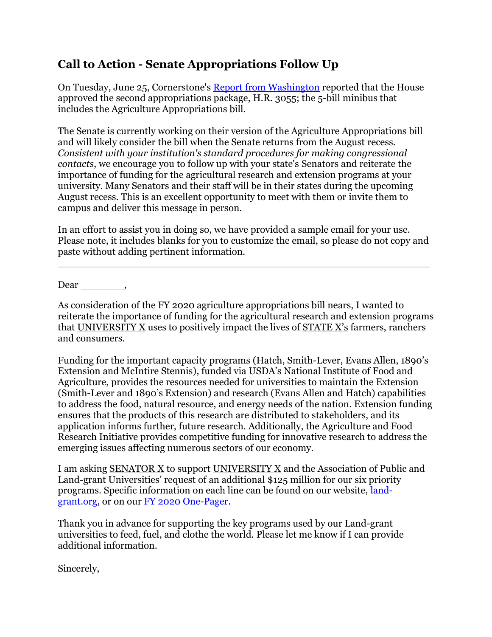## **Call to Action - Senate Appropriations Follow Up**

On Tuesday, June 25, Cornerstone's [Report from Washington](https://docs.wixstatic.com/ugd/cbc5b5_00fbdffb6d0b46cf869b0b9d443032bc.pdf) reported that the House approved the second appropriations package, H.R. 3055; the 5-bill minibus that includes the Agriculture Appropriations bill.

The Senate is currently working on their version of the Agriculture Appropriations bill and will likely consider the bill when the Senate returns from the August recess. *Consistent with your institution's standard procedures for making congressional contacts*, we encourage you to follow up with your state's Senators and reiterate the importance of funding for the agricultural research and extension programs at your university. Many Senators and their staff will be in their states during the upcoming August recess. This is an excellent opportunity to meet with them or invite them to campus and deliver this message in person.

In an effort to assist you in doing so, we have provided a sample email for your use. Please note, it includes blanks for you to customize the email, so please do not copy and paste without adding pertinent information.

\_\_\_\_\_\_\_\_\_\_\_\_\_\_\_\_\_\_\_\_\_\_\_\_\_\_\_\_\_\_\_\_\_\_\_\_\_\_\_\_\_\_\_\_\_\_\_\_\_\_\_\_\_\_\_\_\_\_\_\_

Dear \_\_\_\_\_\_\_,

As consideration of the FY 2020 agriculture appropriations bill nears, I wanted to reiterate the importance of funding for the agricultural research and extension programs that UNIVERSITY X uses to positively impact the lives of STATE X's farmers, ranchers and consumers.

Funding for the important capacity programs (Hatch, Smith-Lever, Evans Allen, 1890's Extension and McIntire Stennis), funded via USDA's National Institute of Food and Agriculture, provides the resources needed for universities to maintain the Extension (Smith-Lever and 1890's Extension) and research (Evans Allen and Hatch) capabilities to address the food, natural resource, and energy needs of the nation. Extension funding ensures that the products of this research are distributed to stakeholders, and its application informs further, future research. Additionally, the Agriculture and Food Research Initiative provides competitive funding for innovative research to address the emerging issues affecting numerous sectors of our economy.

I am asking SENATOR X to support UNIVERSITY X and the Association of Public and Land-grant Universities' request of an additional \$125 million for our six priority programs. Specific information on each line can be found on our website, [land](https://www.land-grant.org/)[grant.org,](https://www.land-grant.org/) or on our FY 2020 [One-Pager.](https://docs.wixstatic.com/ugd/cbc5b5_2bcaf5610f0046d283c3864691ce2ce4.pdf)

Thank you in advance for supporting the key programs used by our Land-grant universities to feed, fuel, and clothe the world. Please let me know if I can provide additional information.

Sincerely,